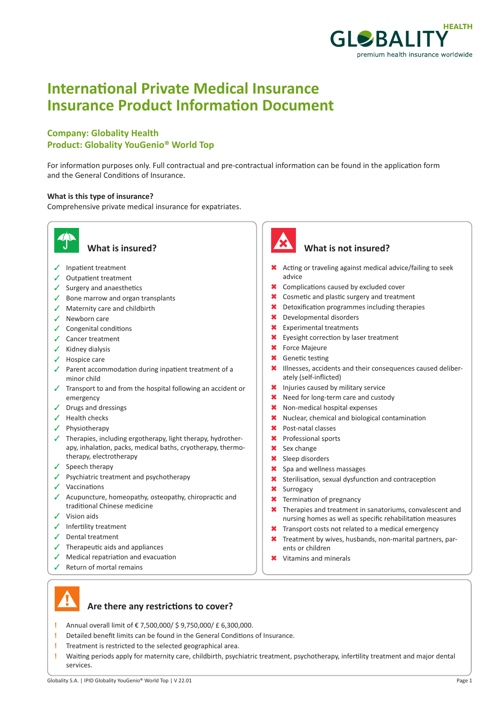

# **International Private Medical Insurance Insurance Product Information Document**

### **Company: Globality Health Product: Globality YouGenio® World Top**

For information purposes only. Full contractual and pre-contractual information can be found in the application form and the General Conditions of Insurance.

#### **What is this type of insurance?**

Comprehensive private medical insurance for expatriates.



- $\checkmark$  Inpatient treatment
- $\checkmark$  Outpatient treatment
- $\checkmark$  Surgery and anaesthetics
- $\checkmark$  Bone marrow and organ transplants
- $\checkmark$  Maternity care and childbirth
- $\checkmark$  Newborn care
- $\checkmark$  Congenital conditions
- $\checkmark$  Cancer treatment
- $\checkmark$  Kidney dialysis
- $\checkmark$  Hospice care
- $\checkmark$  Parent accommodation during inpatient treatment of a minor child
- $\sqrt{ }$  Transport to and from the hospital following an accident or emergency
- $\checkmark$  Drugs and dressings
- $\checkmark$  Health checks
- $\checkmark$  Physiotherapy
- $\checkmark$  Therapies, including ergotherapy, light therapy, hydrotherapy, inhalation, packs, medical baths, cryotherapy, thermotherapy, electrotherapy
- $\checkmark$  Speech therapy
- $\checkmark$  Psychiatric treatment and psychotherapy
- $\checkmark$  Vaccinations
- $\checkmark$  Acupuncture, homeopathy, osteopathy, chiropractic and traditional Chinese medicine
- $\checkmark$  Vision aids
- $\checkmark$  Infertility treatment
- $\checkmark$  Dental treatment
- $\checkmark$  Therapeutic aids and appliances
- $\sqrt{\phantom{a}}$  Medical repatriation and evacuation
- $\checkmark$  Return of mortal remains



#### **What is insured? What is not insured?**

- \* Acting or traveling against medical advice/failing to seek advice
- \* Complications caused by excluded cover
- **\*** Cosmetic and plastic surgery and treatment
- $\star$  Detoxification programmes including therapies
- 6 Developmental disorders
- **\*** Experimental treatments
- \* Eyesight correction by laser treatment
- **\*** Force Majeure
- **\*** Genetic testing
- \* Illnesses, accidents and their consequences caused deliberately (self-inflicted)
- \* Injuries caused by military service
- \* Need for long-term care and custody
- \* Non-medical hospital expenses
- \* Nuclear, chemical and biological contamination
- \* Post-natal classes
- \* Professional sports
- **\*** Sex change
- **\*** Sleep disorders
- \* Spa and wellness massages
- **\*** Sterilisation, sexual dysfunction and contraception
- **\*** Surrogacy
- **\*** Termination of pregnancy
- $\star$  Therapies and treatment in sanatoriums, convalescent and nursing homes as well as specific rehabilitation measures
- **\*** Transport costs not related to a medical emergency
- $*$  Treatment by wives, husbands, non-marital partners, parents or children
- **\*** Vitamins and minerals



- **Are there any restrictions to cover?**
- **!** Annual overall limit of € 7,500,000/ \$ 9,750,000/ £ 6,300,000.
- **!** Detailed benefit limits can be found in the General Conditions of Insurance.
- **!** Treatment is restricted to the selected geographical area.
- **!** Waiting periods apply for maternity care, childbirth, psychiatric treatment, psychotherapy, infertility treatment and major dental services.